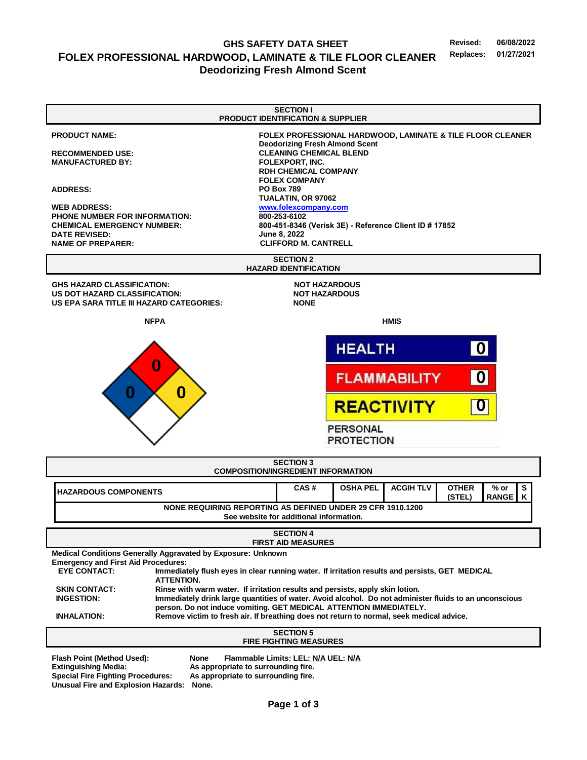# GHS SAFETY DATA SHEET<br>**COOD LAMINATE & TILE ELOOR CLEANER** Replaces: 01/27/2021 **FOLEX PROFESSIONAL HARDWOOD, LAMINATE & TILE FLOOR CLEANER Replaces: 01/27/2021 Deodorizing Fresh Almond Scent**

| <b>SECTION I</b>                                                                                                                                                                                                                                                                                                                                                                                                                                                                                                                                                                                                                                                                         |                                                                                                                                                                                                                                                                                                                                                                                                                                                                |  |  |  |
|------------------------------------------------------------------------------------------------------------------------------------------------------------------------------------------------------------------------------------------------------------------------------------------------------------------------------------------------------------------------------------------------------------------------------------------------------------------------------------------------------------------------------------------------------------------------------------------------------------------------------------------------------------------------------------------|----------------------------------------------------------------------------------------------------------------------------------------------------------------------------------------------------------------------------------------------------------------------------------------------------------------------------------------------------------------------------------------------------------------------------------------------------------------|--|--|--|
| <b>PRODUCT NAME:</b><br><b>RECOMMENDED USE:</b><br><b>MANUFACTURED BY:</b><br><b>ADDRESS:</b><br><b>WEB ADDRESS:</b><br><b>PHONE NUMBER FOR INFORMATION:</b><br><b>CHEMICAL EMERGENCY NUMBER:</b><br><b>DATE REVISED:</b><br><b>NAME OF PREPARER:</b>                                                                                                                                                                                                                                                                                                                                                                                                                                    | PRODUCT IDENTIFICATION & SUPPLIER<br>FOLEX PROFESSIONAL HARDWOOD, LAMINATE & TILE FLOOR CLEANER<br><b>Deodorizing Fresh Almond Scent</b><br><b>CLEANING CHEMICAL BLEND</b><br><b>FOLEXPORT, INC.</b><br><b>RDH CHEMICAL COMPANY</b><br><b>FOLEX COMPANY</b><br><b>PO Box 789</b><br>TUALATIN, OR 97062<br>www.folexcompany.com<br>800-253-6102<br>800-451-8346 (Verisk 3E) - Reference Client ID # 17852<br><b>June 8, 2022</b><br><b>CLIFFORD M. CANTRELL</b> |  |  |  |
|                                                                                                                                                                                                                                                                                                                                                                                                                                                                                                                                                                                                                                                                                          | <b>SECTION 2</b><br><b>HAZARD IDENTIFICATION</b>                                                                                                                                                                                                                                                                                                                                                                                                               |  |  |  |
| <b>GHS HAZARD CLASSIFICATION:</b><br><b>US DOT HAZARD CLASSIFICATION:</b><br>US EPA SARA TITLE III HAZARD CATEGORIES:                                                                                                                                                                                                                                                                                                                                                                                                                                                                                                                                                                    | <b>NOT HAZARDOUS</b><br><b>NOT HAZARDOUS</b><br><b>NONE</b>                                                                                                                                                                                                                                                                                                                                                                                                    |  |  |  |
| <b>NFPA</b>                                                                                                                                                                                                                                                                                                                                                                                                                                                                                                                                                                                                                                                                              | <b>HMIS</b>                                                                                                                                                                                                                                                                                                                                                                                                                                                    |  |  |  |
| $\bf{0}$                                                                                                                                                                                                                                                                                                                                                                                                                                                                                                                                                                                                                                                                                 | 0 <br><b>HEALTH</b>                                                                                                                                                                                                                                                                                                                                                                                                                                            |  |  |  |
| 0                                                                                                                                                                                                                                                                                                                                                                                                                                                                                                                                                                                                                                                                                        | 0 <br><b>FLAMMABILITY</b>                                                                                                                                                                                                                                                                                                                                                                                                                                      |  |  |  |
|                                                                                                                                                                                                                                                                                                                                                                                                                                                                                                                                                                                                                                                                                          | $ {\bf 0} $<br><b>REACTIVITY</b>                                                                                                                                                                                                                                                                                                                                                                                                                               |  |  |  |
|                                                                                                                                                                                                                                                                                                                                                                                                                                                                                                                                                                                                                                                                                          | <b>PERSONAL</b><br><b>PROTECTION</b>                                                                                                                                                                                                                                                                                                                                                                                                                           |  |  |  |
| <b>SECTION 3</b><br><b>COMPOSITION/INGREDIENT INFORMATION</b>                                                                                                                                                                                                                                                                                                                                                                                                                                                                                                                                                                                                                            |                                                                                                                                                                                                                                                                                                                                                                                                                                                                |  |  |  |
| <b>HAZARDOUS COMPONENTS</b>                                                                                                                                                                                                                                                                                                                                                                                                                                                                                                                                                                                                                                                              | S<br>CAS#<br><b>OSHA PEL</b><br><b>ACGIH TLV</b><br><b>OTHER</b><br>% or<br>(STEL)<br><b>RANGE</b><br>Κ                                                                                                                                                                                                                                                                                                                                                        |  |  |  |
| NONE REQUIRING REPORTING AS DEFINED UNDER 29 CFR 1910.1200<br>See website for additional information.                                                                                                                                                                                                                                                                                                                                                                                                                                                                                                                                                                                    |                                                                                                                                                                                                                                                                                                                                                                                                                                                                |  |  |  |
| <b>SECTION 4</b><br><b>FIRST AID MEASURES</b>                                                                                                                                                                                                                                                                                                                                                                                                                                                                                                                                                                                                                                            |                                                                                                                                                                                                                                                                                                                                                                                                                                                                |  |  |  |
| Medical Conditions Generally Aggravated by Exposure: Unknown<br><b>Emergency and First Aid Procedures:</b><br><b>EYE CONTACT:</b><br>Immediately flush eyes in clear running water. If irritation results and persists, GET MEDICAL<br><b>ATTENTION.</b><br>Rinse with warm water. If irritation results and persists, apply skin lotion.<br><b>SKIN CONTACT:</b><br><b>INGESTION:</b><br>Immediately drink large quantities of water. Avoid alcohol. Do not administer fluids to an unconscious<br>person. Do not induce vomiting. GET MEDICAL ATTENTION IMMEDIATELY.<br>Remove victim to fresh air. If breathing does not return to normal, seek medical advice.<br><b>INHALATION:</b> |                                                                                                                                                                                                                                                                                                                                                                                                                                                                |  |  |  |
| <b>SECTION 5</b><br><b>FIRE FIGHTING MEASURES</b>                                                                                                                                                                                                                                                                                                                                                                                                                                                                                                                                                                                                                                        |                                                                                                                                                                                                                                                                                                                                                                                                                                                                |  |  |  |
| Flash Point (Method Used):<br>None<br>Flammable Limits: LEL: N/A UEL: N/A<br><b>Extinguishing Media:</b><br>As appropriate to surrounding fire.<br><b>Special Fire Fighting Procedures:</b><br>As appropriate to surrounding fire.<br><b>Unusual Fire and Explosion Hazards:</b><br>None.                                                                                                                                                                                                                                                                                                                                                                                                |                                                                                                                                                                                                                                                                                                                                                                                                                                                                |  |  |  |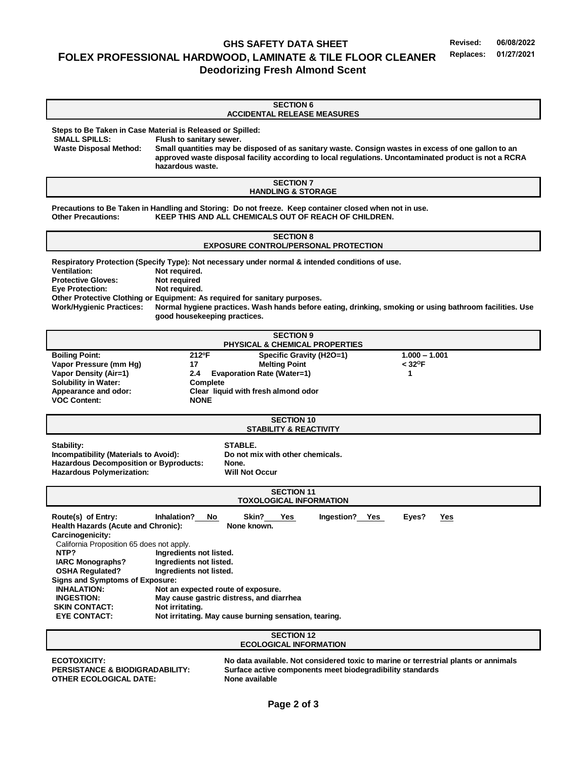## **GHS SAFETY DATA SHEET Revised: 06/08/2022 FOLEX PROFESSIONAL HARDWOOD, LAMINATE & TILE FLOOR CLEANER Replaces: Deodorizing Fresh Almond Scent**

## **SECTION 6 ACCIDENTAL RELEASE MEASURES**

**Steps to Be Taken in Case Material is Released or Spilled:**

**SMALL SPILLS: Flush to sanitary sewer. Waste Disposal Method: Small quantities may be disposed of as sanitary waste. Consign wastes in excess of one gallon to an approved waste disposal facility according to local regulations. Uncontaminated product is not a RCRA hazardous waste.**

> **SECTION 7 HANDLING & STORAGE**

**Precautions to Be Taken in Handling and Storing: Do not freeze. Keep container closed when not in use. Other Precautions: KEEP THIS AND ALL CHEMICALS OUT OF REACH OF CHILDREN.**

### **SECTION 8 EXPOSURE CONTROL/PERSONAL PROTECTION**

**Respiratory Protection (Specify Type): Not necessary under normal & intended conditions of use. Ventilation: Not required. Protective Gloves: Not required Eye Protection: Not required. Other Protective Clothing or Equipment: As required for sanitary purposes. Work/Hygienic Practices: Normal hygiene practices. Wash hands before eating, drinking, smoking or using bathroom facilities. Use good housekeeping practices.**

| <b>SECTION 9</b>                          |                                          |                          |                       |  |  |
|-------------------------------------------|------------------------------------------|--------------------------|-----------------------|--|--|
| <b>PHYSICAL &amp; CHEMICAL PROPERTIES</b> |                                          |                          |                       |  |  |
| <b>Boiling Point:</b>                     | 212°F                                    | Specific Gravity (H2O=1) | $1.000 - 1.001$       |  |  |
| Vapor Pressure (mm Hq)                    | 17                                       | <b>Melting Point</b>     | $<$ 32 <sup>o</sup> F |  |  |
| Vapor Density (Air=1)                     | <b>Evaporation Rate (Water=1)</b><br>2.4 |                          |                       |  |  |
| <b>Solubility in Water:</b>               | Complete                                 |                          |                       |  |  |
| Appearance and odor:                      | Clear liquid with fresh almond odor      |                          |                       |  |  |
| <b>VOC Content:</b>                       | <b>NONE</b>                              |                          |                       |  |  |

#### **SECTION 10 STABILITY & REACTIVITY**

Stability:<br>**Incompatibility (Materials to Avoid):** STABLE.<br>Do not mix with other chemicals. **Incompatibility (Materials to Avoid): Hazardous Decomposition or Byproducts: None. Hazardous Polymerization: Will Not Occur**

| <b>SECTION 11</b>                                                |                                                                                     |  |  |  |
|------------------------------------------------------------------|-------------------------------------------------------------------------------------|--|--|--|
| <b>TOXOLOGICAL INFORMATION</b>                                   |                                                                                     |  |  |  |
| Route(s) of Entry:<br><b>Health Hazards (Acute and Chronic):</b> | Inhalation? No<br>Ingestion? Yes<br>Skin? Yes<br><u>Yes</u><br>Eves?<br>None known. |  |  |  |
|                                                                  |                                                                                     |  |  |  |
| Carcinogenicity:                                                 |                                                                                     |  |  |  |
| California Proposition 65 does not apply.                        |                                                                                     |  |  |  |
| NTP?                                                             | Ingredients not listed.                                                             |  |  |  |
| <b>IARC Monographs?</b>                                          | Ingredients not listed.                                                             |  |  |  |
| <b>OSHA Requiated?</b>                                           | Ingredients not listed.                                                             |  |  |  |
| Signs and Symptoms of Exposure:                                  |                                                                                     |  |  |  |
| <b>INHALATION:</b>                                               | Not an expected route of exposure.                                                  |  |  |  |
| <b>INGESTION:</b>                                                | May cause gastric distress, and diarrhea                                            |  |  |  |
| Not irritating.<br><b>SKIN CONTACT:</b>                          |                                                                                     |  |  |  |
|                                                                  |                                                                                     |  |  |  |
| <b>EYE CONTACT:</b>                                              | Not irritating. May cause burning sensation, tearing.                               |  |  |  |
|                                                                  |                                                                                     |  |  |  |

#### **SECTION 12 ECOLOGICAL INFORMATION**

**OTHER ECOLOGICAL DATE: None available**

**ECOTOXICITY: No data available. Not considered toxic to marine or terrestrial plants or annimals PERSISTANCE & BIODIGRADABILITY: Surface active components meet biodegradibility standards**